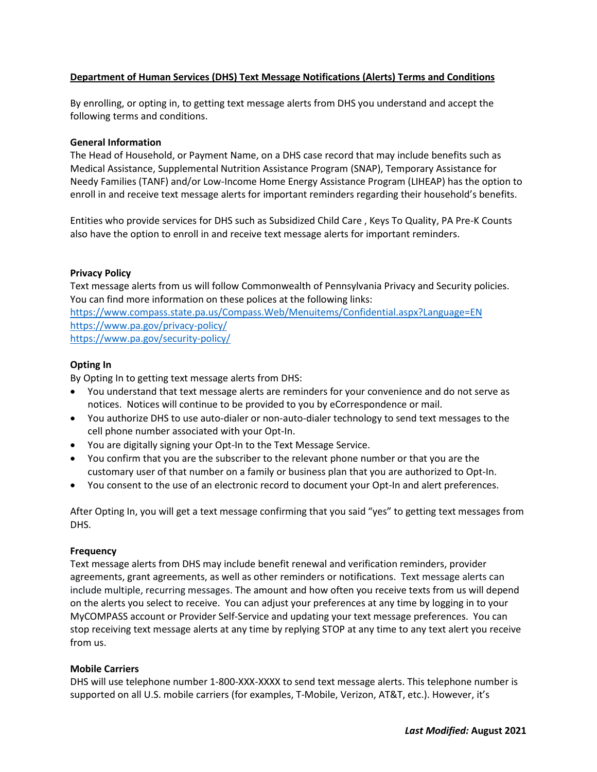# **Department of Human Services (DHS) Text Message Notifications (Alerts) Terms and Conditions**

By enrolling, or opting in, to getting text message alerts from DHS you understand and accept the following terms and conditions.

## **General Information**

The Head of Household, or Payment Name, on a DHS case record that may include benefits such as Medical Assistance, Supplemental Nutrition Assistance Program (SNAP), Temporary Assistance for Needy Families (TANF) and/or Low-Income Home Energy Assistance Program (LIHEAP) has the option to enroll in and receive text message alerts for important reminders regarding their household's benefits.

Entities who provide services for DHS such as Subsidized Child Care , Keys To Quality, PA Pre-K Counts also have the option to enroll in and receive text message alerts for important reminders.

# **Privacy Policy**

Text message alerts from us will follow Commonwealth of Pennsylvania Privacy and Security policies. You can find more information on these polices at the following links: <https://www.compass.state.pa.us/Compass.Web/Menuitems/Confidential.aspx?Language=EN> <https://www.pa.gov/privacy-policy/> <https://www.pa.gov/security-policy/>

# **Opting In**

By Opting In to getting text message alerts from DHS:

- You understand that text message alerts are reminders for your convenience and do not serve as notices. Notices will continue to be provided to you by eCorrespondence or mail.
- You authorize DHS to use auto-dialer or non-auto-dialer technology to send text messages to the cell phone number associated with your Opt-In.
- You are digitally signing your Opt-In to the Text Message Service.
- You confirm that you are the subscriber to the relevant phone number or that you are the customary user of that number on a family or business plan that you are authorized to Opt-In.
- You consent to the use of an electronic record to document your Opt-In and alert preferences.

After Opting In, you will get a text message confirming that you said "yes" to getting text messages from DHS.

### **Frequency**

Text message alerts from DHS may include benefit renewal and verification reminders, provider agreements, grant agreements, as well as other reminders or notifications. Text message alerts can include multiple, recurring messages. The amount and how often you receive texts from us will depend on the alerts you select to receive. You can adjust your preferences at any time by logging in to your MyCOMPASS account or Provider Self-Service and updating your text message preferences. You can stop receiving text message alerts at any time by replying STOP at any time to any text alert you receive from us.

### **Mobile Carriers**

DHS will use telephone number 1-800-XXX-XXXX to send text message alerts. This telephone number is supported on all U.S. mobile carriers (for examples, T-Mobile, Verizon, AT&T, etc.). However, it's